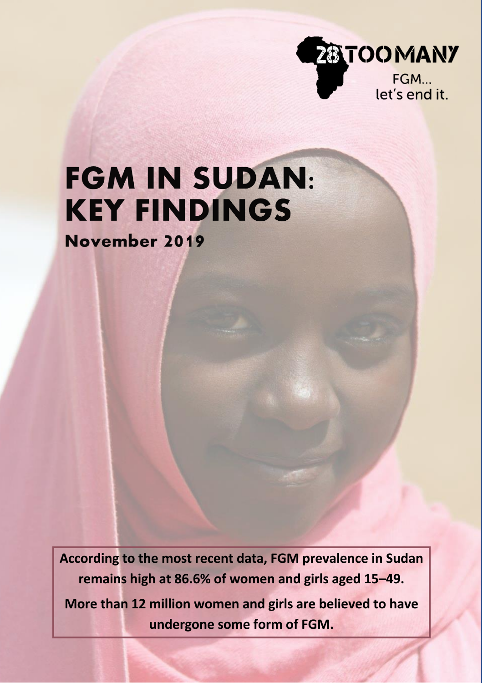

# **FGM IN SUDAN: KEY FINDINGS**

November 2019

**According to the most recent data, FGM prevalence in Sudan remains high at 86.6% of women and girls aged 15–49.**

**More than 12 million women and girls are believed to have undergone some form of FGM.**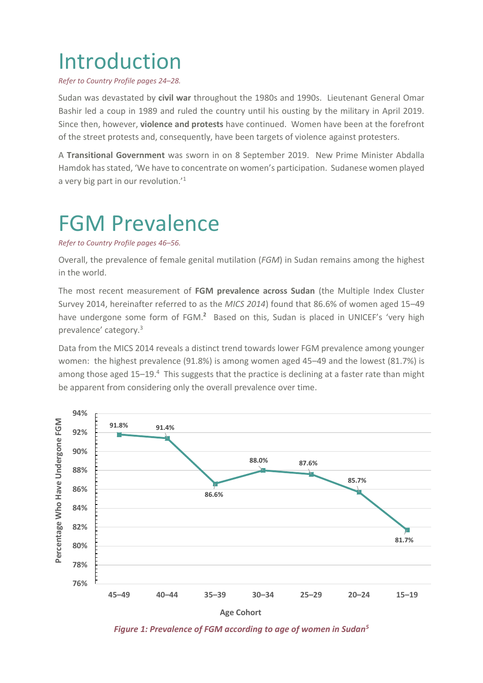# Introduction

*Refer to Country Profile pages 24–28.*

Sudan was devastated by **civil war** throughout the 1980s and 1990s. Lieutenant General Omar Bashir led a coup in 1989 and ruled the country until his ousting by the military in April 2019. Since then, however, **violence and protests** have continued. Women have been at the forefront of the street protests and, consequently, have been targets of violence against protesters.

A **Transitional Government** was sworn in on 8 September 2019. New Prime Minister Abdalla Hamdok has stated, 'We have to concentrate on women's participation. Sudanese women played a very big part in our revolution.'<sup>1</sup>

### FGM Prevalence

#### *Refer to Country Profile pages 46–56.*

Overall, the prevalence of female genital mutilation (*FGM*) in Sudan remains among the highest in the world.

The most recent measurement of **FGM prevalence across Sudan** (the Multiple Index Cluster Survey 2014, hereinafter referred to as the *MICS 2014*) found that 86.6% of women aged 15–49 have undergone some form of FGM.**<sup>2</sup>** Based on this, Sudan is placed in UNICEF's 'very high prevalence' category.<sup>3</sup>

Data from the MICS 2014 reveals a distinct trend towards lower FGM prevalence among younger women: the highest prevalence (91.8%) is among women aged 45–49 and the lowest (81.7%) is among those aged 15–19.<sup>4</sup> This suggests that the practice is declining at a faster rate than might be apparent from considering only the overall prevalence over time.





*Figure 1: Prevalence of FGM according to age of women in Sudan<sup>5</sup>*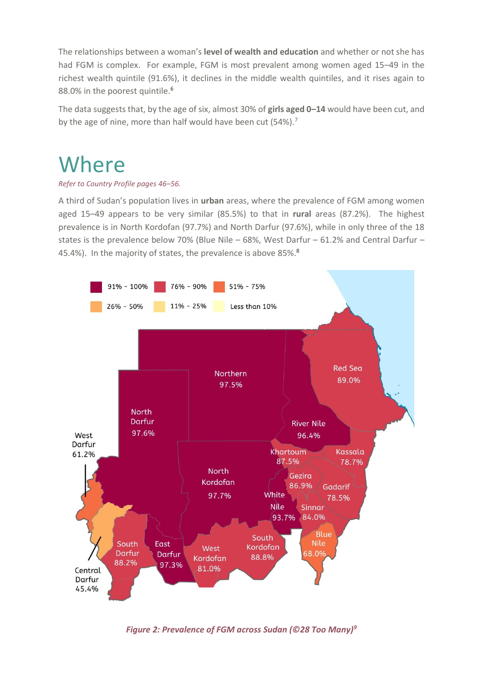The relationships between a woman's **level of wealth and education** and whether or not she has had FGM is complex. For example, FGM is most prevalent among women aged 15–49 in the richest wealth quintile (91.6%), it declines in the middle wealth quintiles, and it rises again to 88.0% in the poorest quintile.**<sup>6</sup>**

The data suggests that, by the age of six, almost 30% of **girls aged 0–14** would have been cut, and by the age of nine, more than half would have been cut (54%).<sup>7</sup>

### **Where**

#### *Refer to Country Profile pages 46–56.*

A third of Sudan's population lives in **urban** areas, where the prevalence of FGM among women aged 15–49 appears to be very similar (85.5%) to that in **rural** areas (87.2%). The highest prevalence is in North Kordofan (97.7%) and North Darfur (97.6%), while in only three of the 18 states is the prevalence below 70% (Blue Nile – 68%, West Darfur – 61.2% and Central Darfur – 45.4%). In the majority of states, the prevalence is above 85%. **8**



*Figure 2: Prevalence of FGM across Sudan (©28 Too Many)9*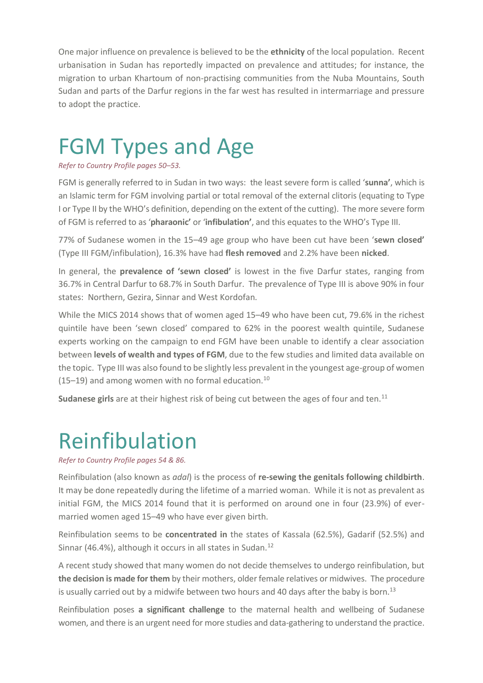One major influence on prevalence is believed to be the **ethnicity** of the local population. Recent urbanisation in Sudan has reportedly impacted on prevalence and attitudes; for instance, the migration to urban Khartoum of non-practising communities from the Nuba Mountains, South Sudan and parts of the Darfur regions in the far west has resulted in intermarriage and pressure to adopt the practice.

### FGM Types and Age

#### *Refer to Country Profile pages 50–53.*

FGM is generally referred to in Sudan in two ways: the least severe form is called '**sunna'**, which is an Islamic term for FGM involving partial or total removal of the external clitoris (equating to Type I or Type II by the WHO's definition, depending on the extent of the cutting). The more severe form of FGM is referred to as '**pharaonic'** or '**infibulation'**, and this equates to the WHO's Type III.

77% of Sudanese women in the 15–49 age group who have been cut have been '**sewn closed'** (Type III FGM/infibulation), 16.3% have had **flesh removed** and 2.2% have been **nicked**.

In general, the **prevalence of 'sewn closed'** is lowest in the five Darfur states, ranging from 36.7% in Central Darfur to 68.7% in South Darfur. The prevalence of Type III is above 90% in four states: Northern, Gezira, Sinnar and West Kordofan.

While the MICS 2014 shows that of women aged 15–49 who have been cut, 79.6% in the richest quintile have been 'sewn closed' compared to 62% in the poorest wealth quintile, Sudanese experts working on the campaign to end FGM have been unable to identify a clear association between **levels of wealth and types of FGM**, due to the few studies and limited data available on the topic. Type III was also found to be slightly less prevalent in the youngest age-group of women (15–19) and among women with no formal education. $^{10}$ 

Sudanese girls are at their highest risk of being cut between the ages of four and ten.<sup>11</sup>

### Reinfibulation

*Refer to Country Profile pages 54 & 86.*

Reinfibulation (also known as *adal*) is the process of **re-sewing the genitals following childbirth**. It may be done repeatedly during the lifetime of a married woman. While it is not as prevalent as initial FGM, the MICS 2014 found that it is performed on around one in four (23.9%) of evermarried women aged 15–49 who have ever given birth.

Reinfibulation seems to be **concentrated in** the states of Kassala (62.5%), Gadarif (52.5%) and Sinnar (46.4%), although it occurs in all states in Sudan.<sup>12</sup>

A recent study showed that many women do not decide themselves to undergo reinfibulation, but **the decision is made for them** by their mothers, older female relatives or midwives. The procedure is usually carried out by a midwife between two hours and 40 days after the baby is born.<sup>13</sup>

Reinfibulation poses **a significant challenge** to the maternal health and wellbeing of Sudanese women, and there is an urgent need for more studies and data-gathering to understand the practice.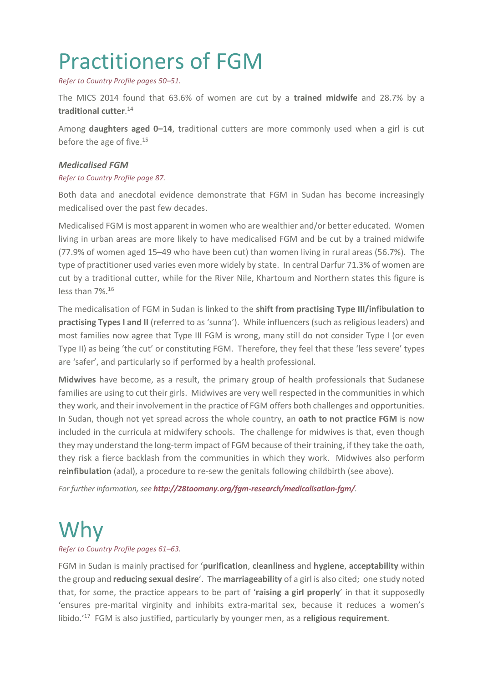## Practitioners of FGM

*Refer to Country Profile pages 50–51.*

The MICS 2014 found that 63.6% of women are cut by a **trained midwife** and 28.7% by a **traditional cutter**. 14

Among **daughters aged 0–14**, traditional cutters are more commonly used when a girl is cut before the age of five.<sup>15</sup>

#### *Medicalised FGM*

#### *Refer to Country Profile page 87.*

Both data and anecdotal evidence demonstrate that FGM in Sudan has become increasingly medicalised over the past few decades.

Medicalised FGM is most apparent in women who are wealthier and/or better educated. Women living in urban areas are more likely to have medicalised FGM and be cut by a trained midwife (77.9% of women aged 15–49 who have been cut) than women living in rural areas (56.7%). The type of practitioner used varies even more widely by state. In central Darfur 71.3% of women are cut by a traditional cutter, while for the River Nile, Khartoum and Northern states this figure is less than 7%.<sup>16</sup>

The medicalisation of FGM in Sudan is linked to the **shift from practising Type III/infibulation to practising Types I and II** (referred to as 'sunna'). While influencers (such as religious leaders) and most families now agree that Type III FGM is wrong, many still do not consider Type I (or even Type II) as being 'the cut' or constituting FGM. Therefore, they feel that these 'less severe' types are 'safer', and particularly so if performed by a health professional.

**Midwives** have become, as a result, the primary group of health professionals that Sudanese families are using to cut their girls. Midwives are very well respected in the communities in which they work, and their involvement in the practice of FGM offers both challenges and opportunities. In Sudan, though not yet spread across the whole country, an **oath to not practice FGM** is now included in the curricula at midwifery schools. The challenge for midwives is that, even though they may understand the long-term impact of FGM because of their training, if they take the oath, they risk a fierce backlash from the communities in which they work. Midwives also perform **reinfibulation** (adal), a procedure to re-sew the genitals following childbirth (see above).

*For further information, see <http://28toomany.org/fgm-research/medicalisation-fgm/>.*

### Why

*Refer to Country Profile pages 61–63.*

FGM in Sudan is mainly practised for '**purification**, **cleanliness** and **hygiene**, **acceptability** within the group and **reducing sexual desire**'. The **marriageability** of a girl is also cited; one study noted that, for some, the practice appears to be part of '**raising a girl properly**' in that it supposedly 'ensures pre-marital virginity and inhibits extra-marital sex, because it reduces a women's libido.' 17 FGM is also justified, particularly by younger men, as a **religious requirement**.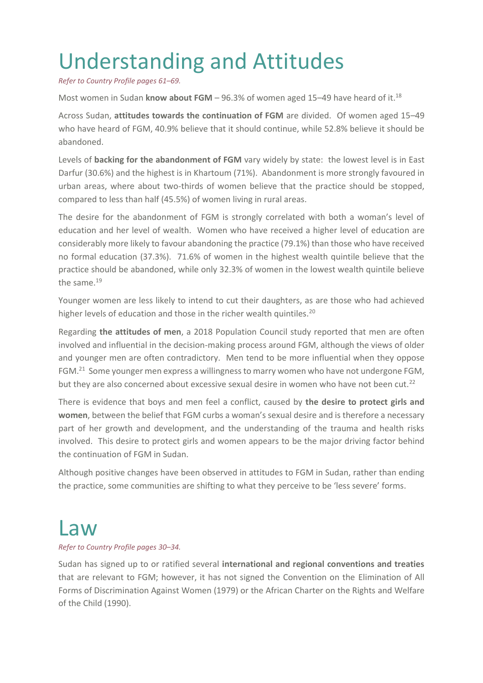# Understanding and Attitudes

*Refer to Country Profile pages 61–69.*

Most women in Sudan know about FGM - 96.3% of women aged 15-49 have heard of it.<sup>18</sup>

Across Sudan, **attitudes towards the continuation of FGM** are divided. Of women aged 15–49 who have heard of FGM, 40.9% believe that it should continue, while 52.8% believe it should be abandoned.

Levels of **backing for the abandonment of FGM** vary widely by state: the lowest level is in East Darfur (30.6%) and the highest is in Khartoum (71%). Abandonment is more strongly favoured in urban areas, where about two-thirds of women believe that the practice should be stopped, compared to less than half (45.5%) of women living in rural areas.

The desire for the abandonment of FGM is strongly correlated with both a woman's level of education and her level of wealth. Women who have received a higher level of education are considerably more likely to favour abandoning the practice (79.1%) than those who have received no formal education (37.3%). 71.6% of women in the highest wealth quintile believe that the practice should be abandoned, while only 32.3% of women in the lowest wealth quintile believe the same.<sup>19</sup>

Younger women are less likely to intend to cut their daughters, as are those who had achieved higher levels of education and those in the richer wealth quintiles.<sup>20</sup>

Regarding **the attitudes of men**, a 2018 Population Council study reported that men are often involved and influential in the decision-making process around FGM, although the views of older and younger men are often contradictory. Men tend to be more influential when they oppose FGM.<sup>21</sup> Some younger men express a willingness to marry women who have not undergone FGM, but they are also concerned about excessive sexual desire in women who have not been cut.<sup>22</sup>

There is evidence that boys and men feel a conflict, caused by **the desire to protect girls and women**, between the belief that FGM curbs a woman's sexual desire and is therefore a necessary part of her growth and development, and the understanding of the trauma and health risks involved. This desire to protect girls and women appears to be the major driving factor behind the continuation of FGM in Sudan.

Although positive changes have been observed in attitudes to FGM in Sudan, rather than ending the practice, some communities are shifting to what they perceive to be 'less severe' forms.

### Law

#### *Refer to Country Profile pages 30–34.*

Sudan has signed up to or ratified several **international and regional conventions and treaties** that are relevant to FGM; however, it has not signed the Convention on the Elimination of All Forms of Discrimination Against Women (1979) or the African Charter on the Rights and Welfare of the Child (1990).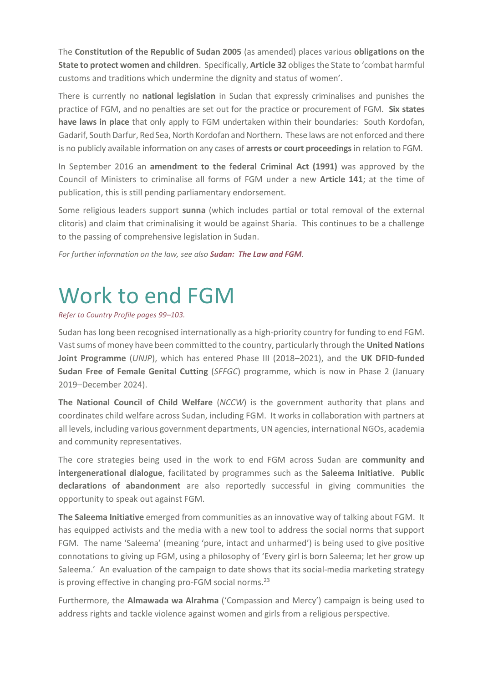The **Constitution of the Republic of Sudan 2005** (as amended) places various **obligations on the State to protect women and children**. Specifically, **Article 32** obliges the State to 'combat harmful customs and traditions which undermine the dignity and status of women'.

There is currently no **national legislation** in Sudan that expressly criminalises and punishes the practice of FGM, and no penalties are set out for the practice or procurement of FGM. **Six states have laws in place** that only apply to FGM undertaken within their boundaries: South Kordofan, Gadarif, SouthDarfur, Red Sea, North Kordofan and Northern. These laws are not enforced and there is no publicly available information on any cases of **arrests or court proceedings**in relation to FGM.

In September 2016 an **amendment to the federal Criminal Act (1991)** was approved by the Council of Ministers to criminalise all forms of FGM under a new **Article 141**; at the time of publication, this is still pending parliamentary endorsement.

Some religious leaders support **sunna** (which includes partial or total removal of the external clitoris) and claim that criminalising it would be against Sharia. This continues to be a challenge to the passing of comprehensive legislation in Sudan.

*For further information on the law, see also [Sudan: The Law and FGM](https://www.28toomany.org/static/media/uploads/Law%20Reports/sudan_law_report_v1_(july_2018).pdf).*

# Work to end FGM

*Refer to Country Profile pages 99–103.*

Sudan has long been recognised internationally as a high-priority country for funding to end FGM. Vast sums of money have been committed to the country, particularly through the **United Nations Joint Programme** (*UNJP*), which has entered Phase III (2018–2021), and the **UK DFID-funded Sudan Free of Female Genital Cutting** (*SFFGC*) programme, which is now in Phase 2 (January 2019–December 2024).

**The National Council of Child Welfare** (*NCCW*) is the government authority that plans and coordinates child welfare across Sudan, including FGM. It works in collaboration with partners at all levels, including various government departments, UN agencies, international NGOs, academia and community representatives.

The core strategies being used in the work to end FGM across Sudan are **community and intergenerational dialogue**, facilitated by programmes such as the **Saleema Initiative**. **Public declarations of abandonment** are also reportedly successful in giving communities the opportunity to speak out against FGM.

**The Saleema Initiative** emerged from communities as an innovative way of talking about FGM. It has equipped activists and the media with a new tool to address the social norms that support FGM. The name 'Saleema' (meaning 'pure, intact and unharmed') is being used to give positive connotations to giving up FGM, using a philosophy of 'Every girl is born Saleema; let her grow up Saleema.' An evaluation of the campaign to date shows that its social-media marketing strategy is proving effective in changing pro-FGM social norms.<sup>23</sup>

Furthermore, the **Almawada wa Alrahma** ('Compassion and Mercy') campaign is being used to address rights and tackle violence against women and girls from a religious perspective.